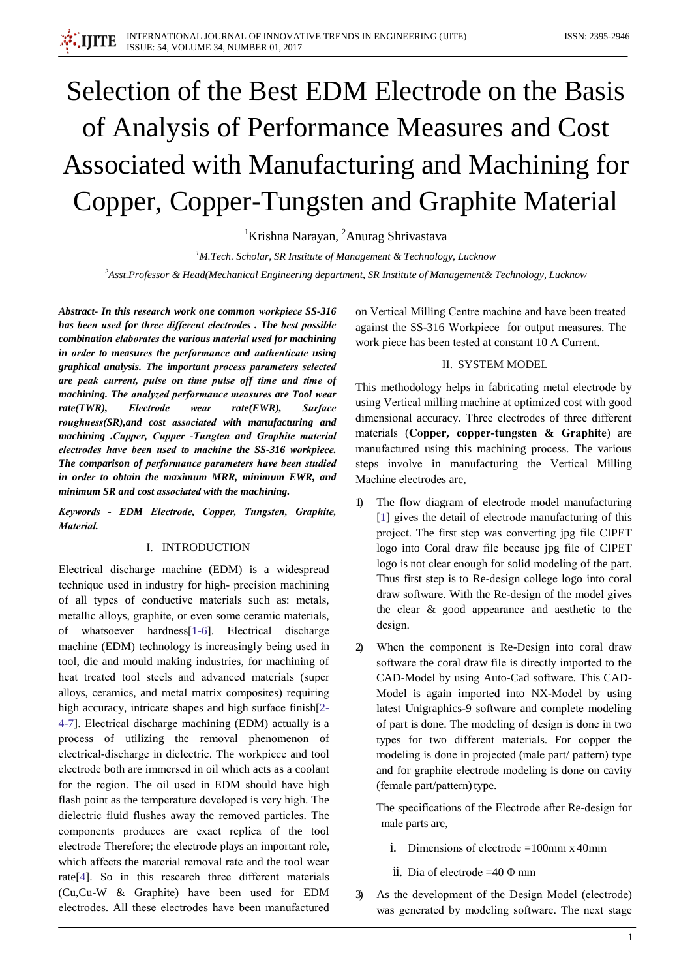# Selection of the Best EDM Electrode on the Basis of Analysis of Performance Measures and Cost Associated with Manufacturing and Machining for Copper, Copper-Tungsten and Graphite Material

<sup>1</sup>Krishna Narayan, <sup>2</sup>Anurag Shrivastava

<sup>1</sup>M.Tech. Scholar, SR Institute of Management & Technology, Lucknow <sup>2</sup>Asst.Professor & Head(Mechanical Engineering department, SR Institute of Management & Technology, Lucknow

Abstract- In this research work one common workpiece SS-316 has been used for three different electrodes. The best possible combination elaborates the various material used for machining in order to measures the performance and authenticate using graphical analysis. The important process parameters selected are peak current, pulse on time pulse off time and time of machining. The analyzed performance measures are Tool wear  $rate(TWR)$ . **Electrode** wear  $rate(EWR)$ . **Surface** roughness(SR), and cost associated with manufacturing and machining .Cupper, Cupper -Tungten and Graphite material electrodes have been used to machine the SS-316 workpiece. The comparison of performance parameters have been studied in order to obtain the maximum MRR, minimum EWR, and minimum SR and cost associated with the machining.

Keywords - EDM Electrode, Copper, Tungsten, Graphite, Material.

#### I. INTRODUCTION

Electrical discharge machine (EDM) is a widespread technique used in industry for high-precision machining of all types of conductive materials such as: metals, metallic alloys, graphite, or even some ceramic materials, of whatsoever hardness[1-6]. Electrical discharge machine (EDM) technology is increasingly being used in tool, die and mould making industries, for machining of heat treated tool steels and advanced materials (super alloys, ceramics, and metal matrix composites) requiring high accuracy, intricate shapes and high surface finish<sup>[2-1</sup>] 4-7]. Electrical discharge machining (EDM) actually is a process of utilizing the removal phenomenon of electrical-discharge in dielectric. The workpiece and tool electrode both are immersed in oil which acts as a coolant for the region. The oil used in EDM should have high flash point as the temperature developed is very high. The dielectric fluid flushes away the removed particles. The components produces are exact replica of the tool electrode Therefore; the electrode plays an important role, which affects the material removal rate and the tool wear rate<sup>[4]</sup>. So in this research three different materials (Cu,Cu-W & Graphite) have been used for EDM electrodes. All these electrodes have been manufactured

on Vertical Milling Centre machine and have been treated against the SS-316 Workpiece for output measures. The work piece has been tested at constant 10 A Current.

## **II. SYSTEM MODEL**

This methodology helps in fabricating metal electrode by using Vertical milling machine at optimized cost with good dimensional accuracy. Three electrodes of three different materials (Copper, copper-tungsten & Graphite) are manufactured using this machining process. The various steps involve in manufacturing the Vertical Milling Machine electrodes are,

- The flow diagram of electrode model manufacturing [1] gives the detail of electrode manufacturing of this project. The first step was converting jpg file CIPET logo into Coral draw file because jpg file of CIPET logo is not clear enough for solid modeling of the part. Thus first step is to Re-design college logo into coral draw software. With the Re-design of the model gives the clear & good appearance and aesthetic to the design.
- When the component is Re-Design into coral draw  $\mathfrak{D}$ software the coral draw file is directly imported to the CAD-Model by using Auto-Cad software. This CAD-Model is again imported into NX-Model by using latest Unigraphics-9 software and complete modeling of part is done. The modeling of design is done in two types for two different materials. For copper the modeling is done in projected (male part/ pattern) type and for graphite electrode modeling is done on cavity (female part/pattern) type.

The specifications of the Electrode after Re-design for male parts are,

- i. Dimensions of electrode =  $100$ mm x  $40$ mm
- ii. Dia of electrode = 40  $\Phi$  mm
- As the development of the Design Model (electrode)  $\mathfrak{Z}$ was generated by modeling software. The next stage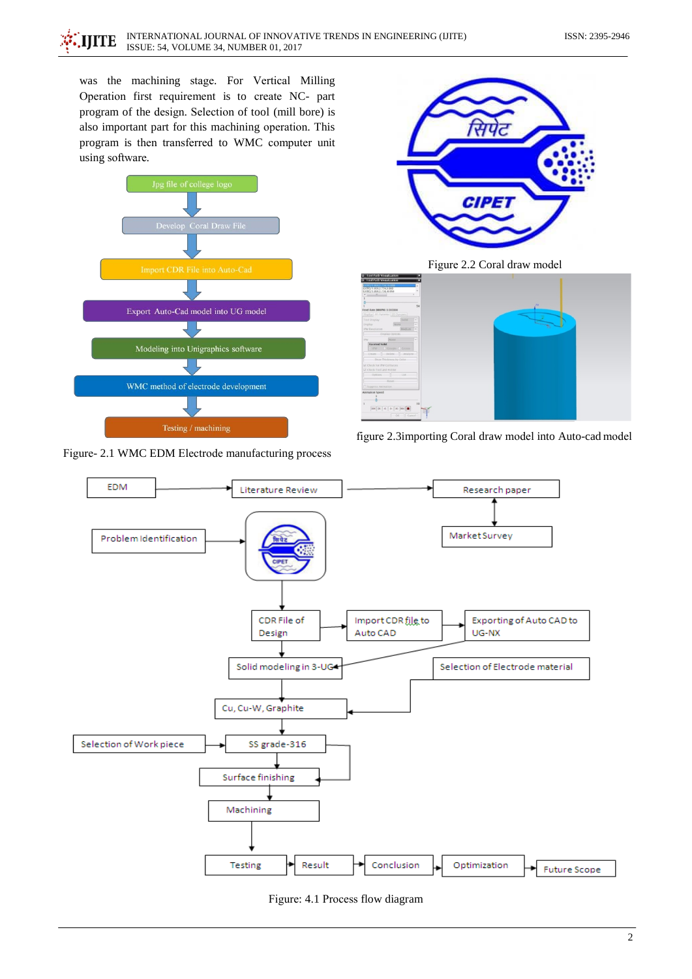was the machining stage. For Vertical Milling Operation first requirement is to create NC- part program of the design. Selection of tool (mill bore) is also important part for this machining operation. This program is then transferred to WMC computer unit using software.



Figure- 2.1 WMC EDM Electrode manufacturing process



Figure 2.2 Coral draw model







Figure: 4.1 Process flow diagram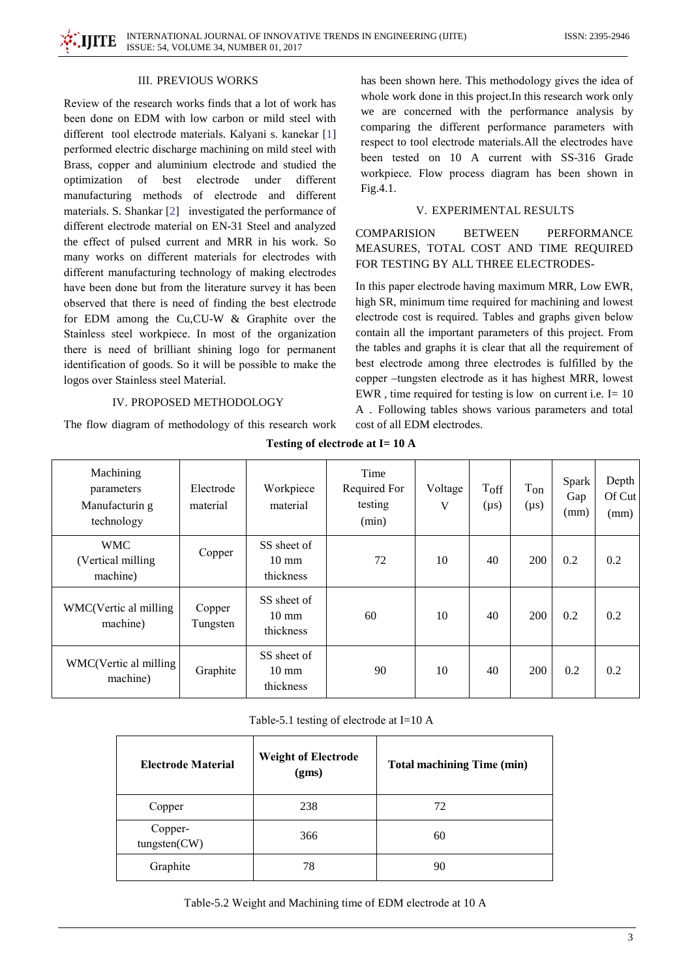

#### **III. PREVIOUS WORKS**

Review of the research works finds that a lot of work has been done on EDM with low carbon or mild steel with different tool electrode materials. Kalyani s. kanekar [1] performed electric discharge machining on mild steel with Brass, copper and aluminium electrode and studied the optimization best electrode under different of manufacturing methods of electrode and different materials. S. Shankar [2] investigated the performance of different electrode material on EN-31 Steel and analyzed the effect of pulsed current and MRR in his work. So many works on different materials for electrodes with different manufacturing technology of making electrodes have been done but from the literature survey it has been observed that there is need of finding the best electrode for EDM among the Cu,CU-W & Graphite over the Stainless steel workpiece. In most of the organization there is need of brilliant shining logo for permanent identification of goods. So it will be possible to make the logos over Stainless steel Material.

## **IV. PROPOSED METHODOLOGY**

The flow diagram of methodology of this research work

has been shown here. This methodology gives the idea of whole work done in this project. In this research work only we are concerned with the performance analysis by comparing the different performance parameters with respect to tool electrode materials. All the electrodes have been tested on 10 A current with SS-316 Grade workpiece. Flow process diagram has been shown in Fig.4.1.

## V. EXPERIMENTAL RESULTS

**COMPARISION BETWEEN PERFORMANCE** MEASURES, TOTAL COST AND TIME REQUIRED FOR TESTING BY ALL THREE ELECTRODES-

In this paper electrode having maximum MRR, Low EWR, high SR, minimum time required for machining and lowest electrode cost is required. Tables and graphs given below contain all the important parameters of this project. From the tables and graphs it is clear that all the requirement of best electrode among three electrodes is fulfilled by the copper –tungsten electrode as it has highest MRR, lowest EWR, time required for testing is low on current i.e.  $I = 10$ A. Following tables shows various parameters and total cost of all EDM electrodes.

| Machining<br>parameters<br>Manufacturin g<br>technology | Electrode<br>material | Workpiece<br>material                       | Time<br>Required For<br>testing<br>(min) | Voltage<br>V | Toff<br>$(\mu s)$ | $T_{on}$<br>$(\mu s)$ | Spark<br>Gap<br>(mm) | Depth<br>Of Cut<br>(mm) |
|---------------------------------------------------------|-----------------------|---------------------------------------------|------------------------------------------|--------------|-------------------|-----------------------|----------------------|-------------------------|
| <b>WMC</b><br>(Vertical milling)<br>machine)            | Copper                | SS sheet of<br>$10 \text{ mm}$<br>thickness | 72                                       | 10           | 40                | 200                   | 0.2                  | 0.2                     |
| WMC(Vertic al milling<br>machine)                       | Copper<br>Tungsten    | SS sheet of<br>$10 \text{ mm}$<br>thickness | 60                                       | 10           | 40                | 200                   | 0.2                  | 0.2                     |
| WMC(Vertic al milling<br>machine)                       | Graphite              | SS sheet of<br>$10 \text{ mm}$<br>thickness | 90                                       | 10           | 40                | 200                   | 0.2                  | 0.2                     |

Testing of electrode at I= 10 A

Table-5.1 testing of electrode at I=10 A

| Electrode Material      | <b>Weight of Electrode</b><br>(gms) | <b>Total machining Time (min)</b> |
|-------------------------|-------------------------------------|-----------------------------------|
| Copper                  | 238                                 | 72                                |
| Copper-<br>tungsten(CW) | 366                                 | 60                                |
| Graphite                | 78                                  | 90                                |

Table-5.2 Weight and Machining time of EDM electrode at 10 A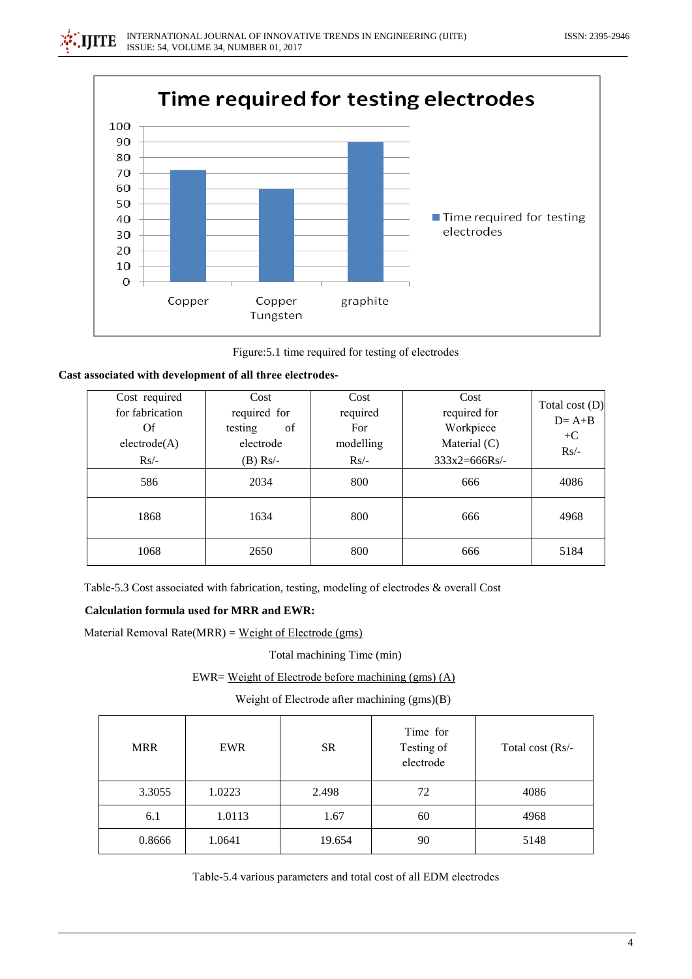



Figure: 5.1 time required for testing of electrodes

|  |  |  |  |  |  |  |  | Cast associated with development of all three electrodes- |
|--|--|--|--|--|--|--|--|-----------------------------------------------------------|
|--|--|--|--|--|--|--|--|-----------------------------------------------------------|

| Cost required<br>for fabrication<br>Of<br>electrode(A)<br>$Rs/-$ | Cost<br>required for<br>of<br>testing<br>electrode<br>$(B)$ Rs/- | Cost<br>required<br>For<br>modelling<br>$Rs/-$ | Cost<br>required for<br>Workpiece<br>Material $(C)$<br>$333x2=666RS$ | Total cost $(D)$<br>$D = A + B$<br>$+C$<br>$Rs/-$ |
|------------------------------------------------------------------|------------------------------------------------------------------|------------------------------------------------|----------------------------------------------------------------------|---------------------------------------------------|
| 586                                                              | 2034                                                             | 800                                            | 666                                                                  | 4086                                              |
| 1868                                                             | 1634                                                             | 800                                            | 666                                                                  | 4968                                              |
| 1068                                                             | 2650                                                             | 800                                            | 666                                                                  | 5184                                              |

Table-5.3 Cost associated with fabrication, testing, modeling of electrodes & overall Cost

## **Calculation formula used for MRR and EWR:**

Material Removal Rate( $MRR$ ) = Weight of Electrode (gms)

Total machining Time (min)

EWR= Weight of Electrode before machining (gms) (A)

Weight of Electrode after machining (gms)(B)

| <b>MRR</b> | <b>EWR</b> | <b>SR</b> | Time for<br>Testing of<br>electrode | Total cost (Rs/- |
|------------|------------|-----------|-------------------------------------|------------------|
| 3.3055     | 1.0223     | 2.498     | 72                                  | 4086             |
| 6.1        | 1.0113     | 1.67      | 60                                  | 4968             |
| 0.8666     | 1.0641     | 19.654    | 90                                  | 5148             |

Table-5.4 various parameters and total cost of all EDM electrodes